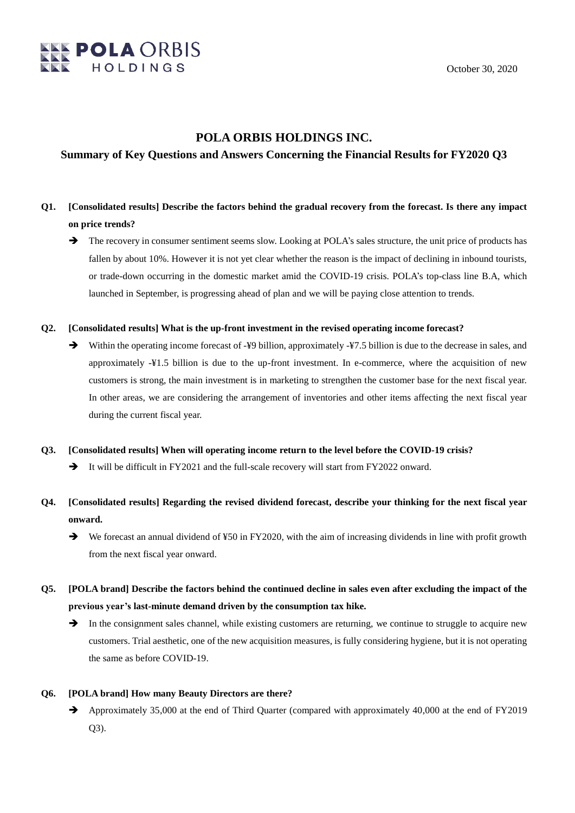

### **POLA ORBIS HOLDINGS INC.**

### **Summary of Key Questions and Answers Concerning the Financial Results for FY2020 Q3**

# **Q1. [Consolidated results] Describe the factors behind the gradual recovery from the forecast. Is there any impact on price trends?**

 The recovery in consumer sentiment seems slow. Looking at POLA's sales structure, the unit price of products has fallen by about 10%. However it is not yet clear whether the reason is the impact of declining in inbound tourists, or trade-down occurring in the domestic market amid the COVID-19 crisis. POLA's top-class line B.A, which launched in September, is progressing ahead of plan and we will be paying close attention to trends.

### **Q2. [Consolidated results] What is the up-front investment in the revised operating income forecast?**

→ Within the operating income forecast of -¥9 billion, approximately -¥7.5 billion is due to the decrease in sales, and approximately -¥1.5 billion is due to the up-front investment. In e-commerce, where the acquisition of new customers is strong, the main investment is in marketing to strengthen the customer base for the next fiscal year. In other areas, we are considering the arrangement of inventories and other items affecting the next fiscal year during the current fiscal year.

### **Q3. [Consolidated results] When will operating income return to the level before the COVID-19 crisis?**

- It will be difficult in FY2021 and the full-scale recovery will start from FY2022 onward.
- **Q4. [Consolidated results] Regarding the revised dividend forecast, describe your thinking for the next fiscal year onward.**
	- $\rightarrow$  We forecast an annual dividend of ¥50 in FY2020, with the aim of increasing dividends in line with profit growth from the next fiscal year onward.
- **Q5. [POLA brand] Describe the factors behind the continued decline in sales even after excluding the impact of the previous year's last-minute demand driven by the consumption tax hike.**
	- $\rightarrow$  In the consignment sales channel, while existing customers are returning, we continue to struggle to acquire new customers. Trial aesthetic, one of the new acquisition measures, is fully considering hygiene, but it is not operating the same as before COVID-19.

### **Q6. [POLA brand] How many Beauty Directors are there?**

Approximately 35,000 at the end of Third Quarter (compared with approximately 40,000 at the end of FY2019 Q3).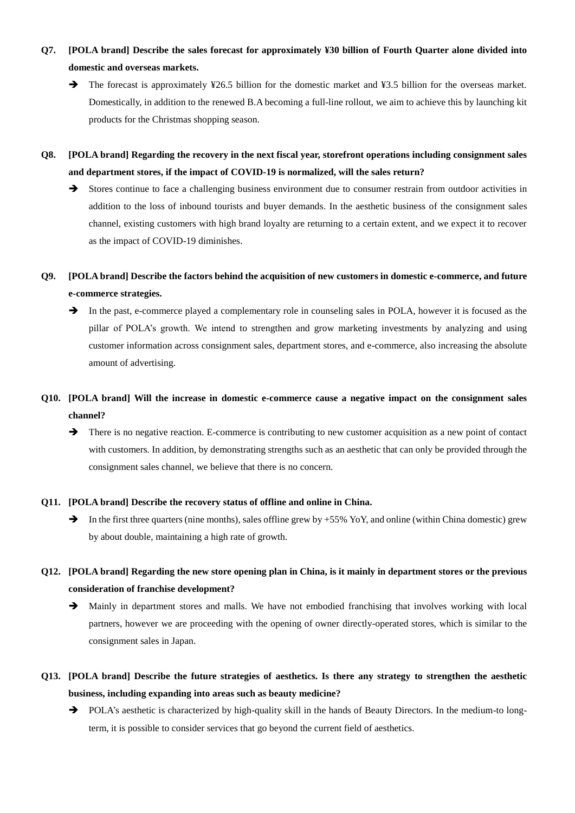- **Q7. [POLA brand] Describe the sales forecast for approximately ¥30 billion of Fourth Quarter alone divided into domestic and overseas markets.**
	- → The forecast is approximately ¥26.5 billion for the domestic market and ¥3.5 billion for the overseas market. Domestically, in addition to the renewed B.A becoming a full-line rollout, we aim to achieve this by launching kit products for the Christmas shopping season.
- **Q8. [POLA brand] Regarding the recovery in the next fiscal year, storefront operations including consignment sales and department stores, if the impact of COVID-19 is normalized, will the sales return?**
	- Stores continue to face a challenging business environment due to consumer restrain from outdoor activities in addition to the loss of inbound tourists and buyer demands. In the aesthetic business of the consignment sales channel, existing customers with high brand loyalty are returning to a certain extent, and we expect it to recover as the impact of COVID-19 diminishes.

### **Q9. [POLA brand] Describe the factors behind the acquisition of new customers in domestic e-commerce, and future e-commerce strategies.**

 In the past, e-commerce played a complementary role in counseling sales in POLA, however it is focused as the pillar of POLA's growth. We intend to strengthen and grow marketing investments by analyzing and using customer information across consignment sales, department stores, and e-commerce, also increasing the absolute amount of advertising.

# **Q10. [POLA brand] Will the increase in domestic e-commerce cause a negative impact on the consignment sales channel?**

There is no negative reaction. E-commerce is contributing to new customer acquisition as a new point of contact with customers. In addition, by demonstrating strengths such as an aesthetic that can only be provided through the consignment sales channel, we believe that there is no concern.

### **Q11. [POLA brand] Describe the recovery status of offline and online in China.**

In the first three quarters (nine months), sales offline grew by  $+55\%$  YoY, and online (within China domestic) grew by about double, maintaining a high rate of growth.

# **Q12. [POLA brand] Regarding the new store opening plan in China, is it mainly in department stores or the previous consideration of franchise development?**

- Mainly in department stores and malls. We have not embodied franchising that involves working with local partners, however we are proceeding with the opening of owner directly-operated stores, which is similar to the consignment sales in Japan.
- **Q13. [POLA brand] Describe the future strategies of aesthetics. Is there any strategy to strengthen the aesthetic business, including expanding into areas such as beauty medicine?**
	- POLA's aesthetic is characterized by high-quality skill in the hands of Beauty Directors. In the medium-to longterm, it is possible to consider services that go beyond the current field of aesthetics.